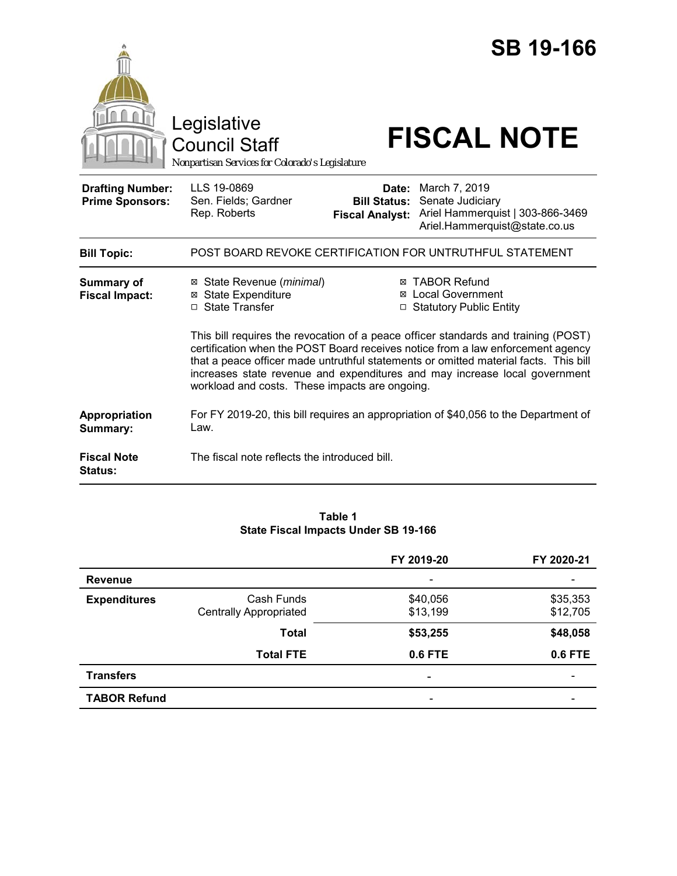|                                                   | Legislative<br><b>Council Staff</b><br>Nonpartisan Services for Colorado's Legislature                                                                                                                               |                                                        | <b>SB 19-166</b><br><b>FISCAL NOTE</b>                                                                                                                                                                                                     |  |  |
|---------------------------------------------------|----------------------------------------------------------------------------------------------------------------------------------------------------------------------------------------------------------------------|--------------------------------------------------------|--------------------------------------------------------------------------------------------------------------------------------------------------------------------------------------------------------------------------------------------|--|--|
| <b>Drafting Number:</b><br><b>Prime Sponsors:</b> | LLS 19-0869<br>Sen. Fields; Gardner<br>Rep. Roberts                                                                                                                                                                  | Date:<br><b>Bill Status:</b><br><b>Fiscal Analyst:</b> | March 7, 2019<br>Senate Judiciary<br>Ariel Hammerquist   303-866-3469<br>Ariel.Hammerquist@state.co.us                                                                                                                                     |  |  |
| <b>Bill Topic:</b>                                |                                                                                                                                                                                                                      |                                                        | POST BOARD REVOKE CERTIFICATION FOR UNTRUTHFUL STATEMENT                                                                                                                                                                                   |  |  |
| <b>Summary of</b><br><b>Fiscal Impact:</b>        | ⊠ State Revenue ( <i>minimal</i> )<br><b>⊠</b> State Expenditure<br>□ State Transfer                                                                                                                                 |                                                        | ⊠ TABOR Refund<br>⊠ Local Government<br>□ Statutory Public Entity<br>This bill requires the revocation of a peace officer standards and training (POST)<br>certification when the POST Board receives notice from a law enforcement agency |  |  |
|                                                   | that a peace officer made untruthful statements or omitted material facts. This bill<br>increases state revenue and expenditures and may increase local government<br>workload and costs. These impacts are ongoing. |                                                        |                                                                                                                                                                                                                                            |  |  |
| Appropriation<br>Summary:                         | Law.                                                                                                                                                                                                                 |                                                        | For FY 2019-20, this bill requires an appropriation of \$40,056 to the Department of                                                                                                                                                       |  |  |
| <b>Fiscal Note</b><br><b>Status:</b>              | The fiscal note reflects the introduced bill.                                                                                                                                                                        |                                                        |                                                                                                                                                                                                                                            |  |  |

### **Table 1 State Fiscal Impacts Under SB 19-166**

|                     |                                             | FY 2019-20           | FY 2020-21           |
|---------------------|---------------------------------------------|----------------------|----------------------|
| <b>Revenue</b>      |                                             |                      |                      |
| <b>Expenditures</b> | Cash Funds<br><b>Centrally Appropriated</b> | \$40,056<br>\$13,199 | \$35,353<br>\$12,705 |
|                     | <b>Total</b>                                | \$53,255             | \$48,058             |
|                     | <b>Total FTE</b>                            | 0.6 FTE              | 0.6 FTE              |
| <b>Transfers</b>    |                                             | ۰                    |                      |
| <b>TABOR Refund</b> |                                             | -                    |                      |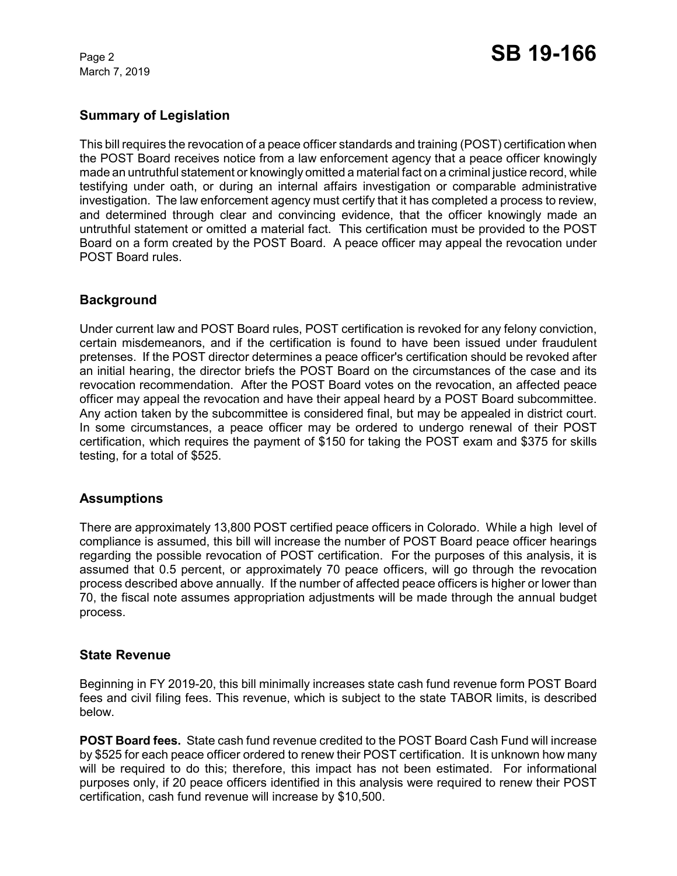March 7, 2019

# **Summary of Legislation**

This bill requires the revocation of a peace officer standards and training (POST) certification when the POST Board receives notice from a law enforcement agency that a peace officer knowingly made an untruthful statement or knowingly omitted a material fact on a criminal justice record, while testifying under oath, or during an internal affairs investigation or comparable administrative investigation. The law enforcement agency must certify that it has completed a process to review, and determined through clear and convincing evidence, that the officer knowingly made an untruthful statement or omitted a material fact. This certification must be provided to the POST Board on a form created by the POST Board. A peace officer may appeal the revocation under POST Board rules.

## **Background**

Under current law and POST Board rules, POST certification is revoked for any felony conviction, certain misdemeanors, and if the certification is found to have been issued under fraudulent pretenses. If the POST director determines a peace officer's certification should be revoked after an initial hearing, the director briefs the POST Board on the circumstances of the case and its revocation recommendation. After the POST Board votes on the revocation, an affected peace officer may appeal the revocation and have their appeal heard by a POST Board subcommittee. Any action taken by the subcommittee is considered final, but may be appealed in district court. In some circumstances, a peace officer may be ordered to undergo renewal of their POST certification, which requires the payment of \$150 for taking the POST exam and \$375 for skills testing, for a total of \$525.

## **Assumptions**

There are approximately 13,800 POST certified peace officers in Colorado. While a high level of compliance is assumed, this bill will increase the number of POST Board peace officer hearings regarding the possible revocation of POST certification. For the purposes of this analysis, it is assumed that 0.5 percent, or approximately 70 peace officers, will go through the revocation process described above annually. If the number of affected peace officers is higher or lower than 70, the fiscal note assumes appropriation adjustments will be made through the annual budget process.

## **State Revenue**

Beginning in FY 2019-20, this bill minimally increases state cash fund revenue form POST Board fees and civil filing fees. This revenue, which is subject to the state TABOR limits, is described below.

**POST Board fees.** State cash fund revenue credited to the POST Board Cash Fund will increase by \$525 for each peace officer ordered to renew their POST certification. It is unknown how many will be required to do this; therefore, this impact has not been estimated. For informational purposes only, if 20 peace officers identified in this analysis were required to renew their POST certification, cash fund revenue will increase by \$10,500.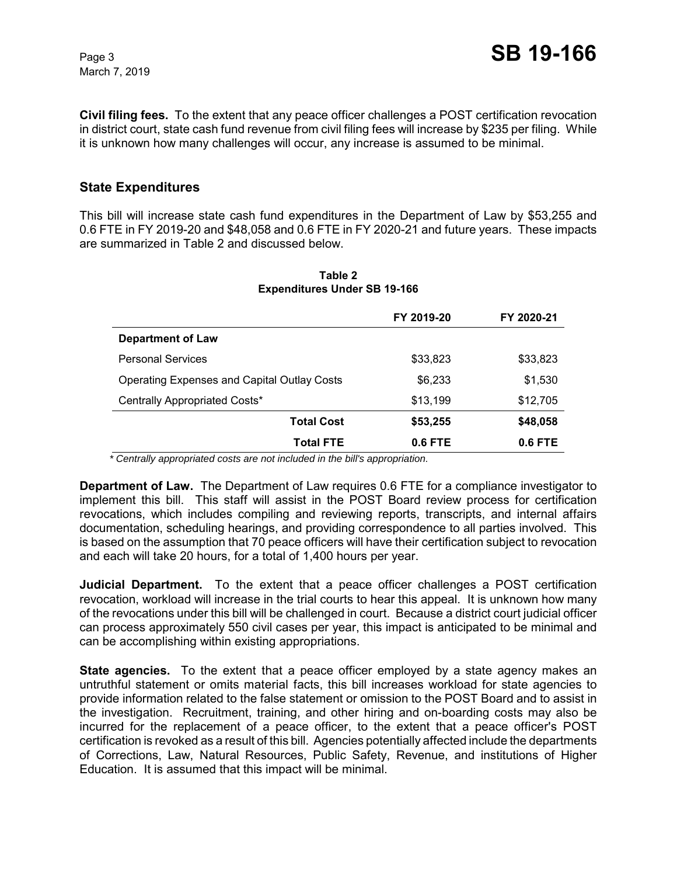March 7, 2019

**Civil filing fees.** To the extent that any peace officer challenges a POST certification revocation in district court, state cash fund revenue from civil filing fees will increase by \$235 per filing. While it is unknown how many challenges will occur, any increase is assumed to be minimal.

# **State Expenditures**

This bill will increase state cash fund expenditures in the Department of Law by \$53,255 and 0.6 FTE in FY 2019-20 and \$48,058 and 0.6 FTE in FY 2020-21 and future years. These impacts are summarized in Table 2 and discussed below.

|                                                    | FY 2019-20 | FY 2020-21 |
|----------------------------------------------------|------------|------------|
| <b>Department of Law</b>                           |            |            |
| <b>Personal Services</b>                           | \$33,823   | \$33,823   |
| <b>Operating Expenses and Capital Outlay Costs</b> | \$6,233    | \$1,530    |
| Centrally Appropriated Costs*                      | \$13,199   | \$12,705   |
| <b>Total Cost</b>                                  | \$53,255   | \$48,058   |
| <b>Total FTE</b>                                   | 0.6 FTE    | $0.6$ FTE  |

#### **Table 2 Expenditures Under SB 19-166**

 *\* Centrally appropriated costs are not included in the bill's appropriation.*

**Department of Law.** The Department of Law requires 0.6 FTE for a compliance investigator to implement this bill. This staff will assist in the POST Board review process for certification revocations, which includes compiling and reviewing reports, transcripts, and internal affairs documentation, scheduling hearings, and providing correspondence to all parties involved. This is based on the assumption that 70 peace officers will have their certification subject to revocation and each will take 20 hours, for a total of 1,400 hours per year.

**Judicial Department.** To the extent that a peace officer challenges a POST certification revocation, workload will increase in the trial courts to hear this appeal. It is unknown how many of the revocations under this bill will be challenged in court. Because a district court judicial officer can process approximately 550 civil cases per year, this impact is anticipated to be minimal and can be accomplishing within existing appropriations.

**State agencies.** To the extent that a peace officer employed by a state agency makes an untruthful statement or omits material facts, this bill increases workload for state agencies to provide information related to the false statement or omission to the POST Board and to assist in the investigation. Recruitment, training, and other hiring and on-boarding costs may also be incurred for the replacement of a peace officer, to the extent that a peace officer's POST certification is revoked as a result of this bill. Agencies potentially affected include the departments of Corrections, Law, Natural Resources, Public Safety, Revenue, and institutions of Higher Education. It is assumed that this impact will be minimal.